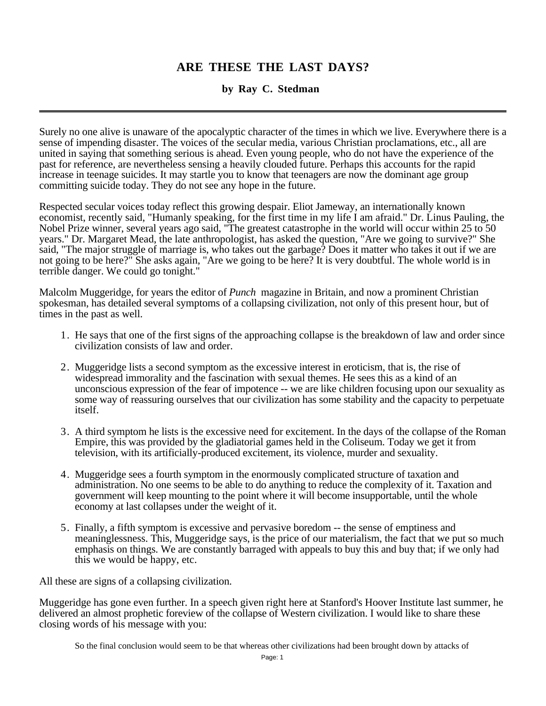# **ARE THESE THE LAST DAYS?**

# **by Ray C. Stedman**

Surely no one alive is unaware of the apocalyptic character of the times in which we live. Everywhere there is a sense of impending disaster. The voices of the secular media, various Christian proclamations, etc., all are united in saying that something serious is ahead. Even young people, who do not have the experience of the past for reference, are nevertheless sensing a heavily clouded future. Perhaps this accounts for the rapid increase in teenage suicides. It may startle you to know that teenagers are now the dominant age group committing suicide today. They do not see any hope in the future.

Respected secular voices today reflect this growing despair. Eliot Jameway, an internationally known economist, recently said, "Humanly speaking, for the first time in my life I am afraid." Dr. Linus Pauling, the Nobel Prize winner, several years ago said, "The greatest catastrophe in the world will occur within 25 to 50 years." Dr. Margaret Mead, the late anthropologist, has asked the question, "Are we going to survive?" She said, "The major struggle of marriage is, who takes out the garbage? Does it matter who takes it out if we are not going to be here?" She asks again, "Are we going to be here? It is very doubtful. The whole world is in terrible danger. We could go tonight."

Malcolm Muggeridge, for years the editor of *Punch* magazine in Britain, and now a prominent Christian spokesman, has detailed several symptoms of a collapsing civilization, not only of this present hour, but of times in the past as well.

- 1. He says that one of the first signs of the approaching collapse is the breakdown of law and order since civilization consists of law and order.
- 2. Muggeridge lists a second symptom as the excessive interest in eroticism, that is, the rise of widespread immorality and the fascination with sexual themes. He sees this as a kind of an unconscious expression of the fear of impotence -- we are like children focusing upon our sexuality as some way of reassuring ourselves that our civilization has some stability and the capacity to perpetuate itself.
- 3. A third symptom he lists is the excessive need for excitement. In the days of the collapse of the Roman Empire, this was provided by the gladiatorial games held in the Coliseum. Today we get it from television, with its artificially-produced excitement, its violence, murder and sexuality.
- 4. Muggeridge sees a fourth symptom in the enormously complicated structure of taxation and administration. No one seems to be able to do anything to reduce the complexity of it. Taxation and government will keep mounting to the point where it will become insupportable, until the whole economy at last collapses under the weight of it.
- 5. Finally, a fifth symptom is excessive and pervasive boredom -- the sense of emptiness and meaninglessness. This, Muggeridge says, is the price of our materialism, the fact that we put so much emphasis on things. We are constantly barraged with appeals to buy this and buy that; if we only had this we would be happy, etc.

All these are signs of a collapsing civilization.

Muggeridge has gone even further. In a speech given right here at Stanford's Hoover Institute last summer, he delivered an almost prophetic foreview of the collapse of Western civilization. I would like to share these closing words of his message with you: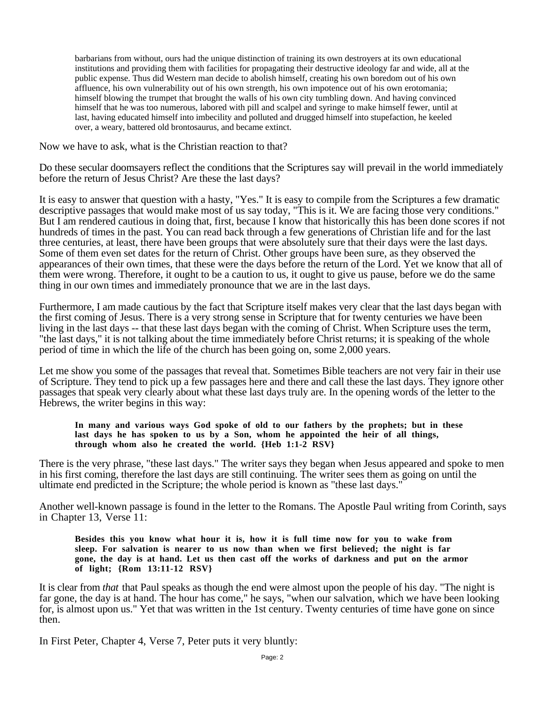barbarians from without, ours had the unique distinction of training its own destroyers at its own educational institutions and providing them with facilities for propagating their destructive ideology far and wide, all at the public expense. Thus did Western man decide to abolish himself, creating his own boredom out of his own affluence, his own vulnerability out of his own strength, his own impotence out of his own erotomania; himself blowing the trumpet that brought the walls of his own city tumbling down. And having convinced himself that he was too numerous, labored with pill and scalpel and syringe to make himself fewer, until at last, having educated himself into imbecility and polluted and drugged himself into stupefaction, he keeled over, a weary, battered old brontosaurus, and became extinct.

Now we have to ask, what is the Christian reaction to that?

Do these secular doomsayers reflect the conditions that the Scriptures say will prevail in the world immediately before the return of Jesus Christ? Are these the last days?

It is easy to answer that question with a hasty, "Yes." It is easy to compile from the Scriptures a few dramatic descriptive passages that would make most of us say today, "This is it. We are facing those very conditions." But I am rendered cautious in doing that, first, because I know that historically this has been done scores if not hundreds of times in the past. You can read back through a few generations of Christian life and for the last three centuries, at least, there have been groups that were absolutely sure that their days were the last days. Some of them even set dates for the return of Christ. Other groups have been sure, as they observed the appearances of their own times, that these were the days before the return of the Lord. Yet we know that all of them were wrong. Therefore, it ought to be a caution to us, it ought to give us pause, before we do the same thing in our own times and immediately pronounce that we are in the last days.

Furthermore, I am made cautious by the fact that Scripture itself makes very clear that the last days began with the first coming of Jesus. There is a very strong sense in Scripture that for twenty centuries we have been living in the last days -- that these last days began with the coming of Christ. When Scripture uses the term, "the last days," it is not talking about the time immediately before Christ returns; it is speaking of the whole period of time in which the life of the church has been going on, some 2,000 years.

Let me show you some of the passages that reveal that. Sometimes Bible teachers are not very fair in their use of Scripture. They tend to pick up a few passages here and there and call these the last days. They ignore other passages that speak very clearly about what these last days truly are. In the opening words of the letter to the Hebrews, the writer begins in this way:

**In many and various ways God spoke of old to our fathers by the prophets; but in these last days he has spoken to us by a Son, whom he appointed the heir of all things, through whom also he created the world. {Heb 1:1-2 RSV}**

There is the very phrase, "these last days." The writer says they began when Jesus appeared and spoke to men in his first coming, therefore the last days are still continuing. The writer sees them as going on until the ultimate end predicted in the Scripture; the whole period is known as "these last days."

Another well-known passage is found in the letter to the Romans. The Apostle Paul writing from Corinth, says in Chapter 13, Verse 11:

**Besides this you know what hour it is, how it is full time now for you to wake from sleep. For salvation is nearer to us now than when we first believed; the night is far gone, the day is at hand. Let us then cast off the works of darkness and put on the armor of light; {Rom 13:11-12 RSV}**

It is clear from *that* that Paul speaks as though the end were almost upon the people of his day. "The night is far gone, the day is at hand. The hour has come," he says, "when our salvation, which we have been looking for, is almost upon us." Yet that was written in the 1st century. Twenty centuries of time have gone on since then.

In First Peter, Chapter 4, Verse 7, Peter puts it very bluntly: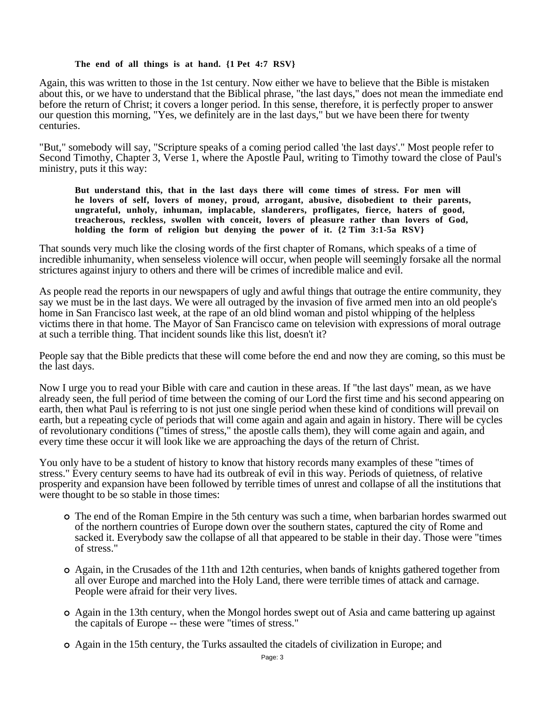## **The end of all things is at hand. {1 Pet 4:7 RSV}**

Again, this was written to those in the 1st century. Now either we have to believe that the Bible is mistaken about this, or we have to understand that the Biblical phrase, "the last days," does not mean the immediate end before the return of Christ; it covers a longer period. In this sense, therefore, it is perfectly proper to answer our question this morning, "Yes, we definitely are in the last days," but we have been there for twenty centuries.

"But," somebody will say, "Scripture speaks of a coming period called 'the last days'." Most people refer to Second Timothy, Chapter 3, Verse 1, where the Apostle Paul, writing to Timothy toward the close of Paul's ministry, puts it this way:

**But understand this, that in the last days there will come times of stress. For men will he lovers of self, lovers of money, proud, arrogant, abusive, disobedient to their parents, ungrateful, unholy, inhuman, implacable, slanderers, profligates, fierce, haters of good, treacherous, reckless, swollen with conceit, lovers of pleasure rather than lovers of God, holding the form of religion but denying the power of it. {2 Tim 3:1-5a RSV}**

That sounds very much like the closing words of the first chapter of Romans, which speaks of a time of incredible inhumanity, when senseless violence will occur, when people will seemingly forsake all the normal strictures against injury to others and there will be crimes of incredible malice and evil.

As people read the reports in our newspapers of ugly and awful things that outrage the entire community, they say we must be in the last days. We were all outraged by the invasion of five armed men into an old people's home in San Francisco last week, at the rape of an old blind woman and pistol whipping of the helpless victims there in that home. The Mayor of San Francisco came on television with expressions of moral outrage at such a terrible thing. That incident sounds like this list, doesn't it?

People say that the Bible predicts that these will come before the end and now they are coming, so this must be the last days.

Now I urge you to read your Bible with care and caution in these areas. If "the last days" mean, as we have already seen, the full period of time between the coming of our Lord the first time and his second appearing on earth, then what Paul is referring to is not just one single period when these kind of conditions will prevail on earth, but a repeating cycle of periods that will come again and again and again in history. There will be cycles of revolutionary conditions ("times of stress," the apostle calls them), they will come again and again, and every time these occur it will look like we are approaching the days of the return of Christ.

You only have to be a student of history to know that history records many examples of these "times of stress." Every century seems to have had its outbreak of evil in this way. Periods of quietness, of relative prosperity and expansion have been followed by terrible times of unrest and collapse of all the institutions that were thought to be so stable in those times:

- The end of the Roman Empire in the 5th century was such a time, when barbarian hordes swarmed out of the northern countries of Europe down over the southern states, captured the city of Rome and sacked it. Everybody saw the collapse of all that appeared to be stable in their day. Those were "times of stress."
- Again, in the Crusades of the 11th and 12th centuries, when bands of knights gathered together from all over Europe and marched into the Holy Land, there were terrible times of attack and carnage. People were afraid for their very lives.
- Again in the 13th century, when the Mongol hordes swept out of Asia and came battering up against the capitals of Europe -- these were "times of stress."
- Again in the 15th century, the Turks assaulted the citadels of civilization in Europe; and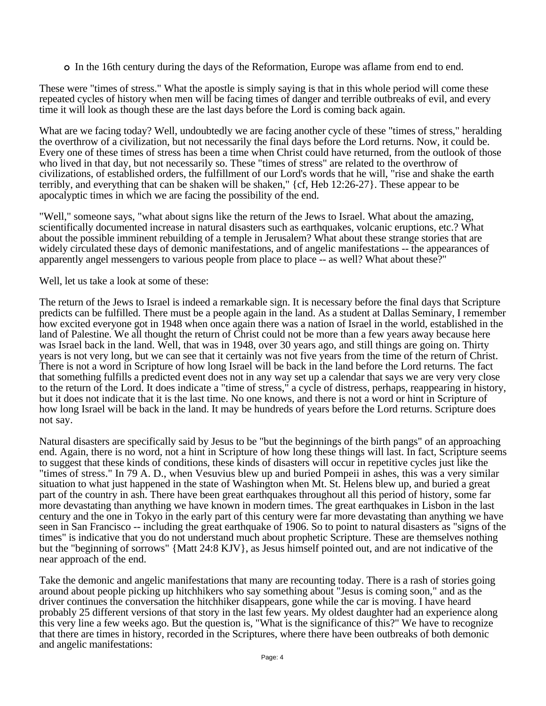In the 16th century during the days of the Reformation, Europe was aflame from end to end.

These were "times of stress." What the apostle is simply saying is that in this whole period will come these repeated cycles of history when men will be facing times of danger and terrible outbreaks of evil, and every time it will look as though these are the last days before the Lord is coming back again.

What are we facing today? Well, undoubtedly we are facing another cycle of these "times of stress," heralding the overthrow of a civilization, but not necessarily the final days before the Lord returns. Now, it could be. Every one of these times of stress has been a time when Christ could have returned, from the outlook of those who lived in that day, but not necessarily so. These "times of stress" are related to the overthrow of civilizations, of established orders, the fulfillment of our Lord's words that he will, "rise and shake the earth terribly, and everything that can be shaken will be shaken," {cf, Heb 12:26-27}. These appear to be apocalyptic times in which we are facing the possibility of the end.

"Well," someone says, "what about signs like the return of the Jews to Israel. What about the amazing, scientifically documented increase in natural disasters such as earthquakes, volcanic eruptions, etc.? What about the possible imminent rebuilding of a temple in Jerusalem? What about these strange stories that are widely circulated these days of demonic manifestations, and of angelic manifestations -- the appearances of apparently angel messengers to various people from place to place -- as well? What about these?"

Well, let us take a look at some of these:

The return of the Jews to Israel is indeed a remarkable sign. It is necessary before the final days that Scripture predicts can be fulfilled. There must be a people again in the land. As a student at Dallas Seminary, I remember how excited everyone got in 1948 when once again there was a nation of Israel in the world, established in the land of Palestine. We all thought the return of Christ could not be more than a few years away because here was Israel back in the land. Well, that was in 1948, over 30 years ago, and still things are going on. Thirty years is not very long, but we can see that it certainly was not five years from the time of the return of Christ. There is not a word in Scripture of how long Israel will be back in the land before the Lord returns. The fact that something fulfills a predicted event does not in any way set up a calendar that says we are very very close to the return of the Lord. It does indicate a "time of stress," a cycle of distress, perhaps, reappearing in history, but it does not indicate that it is the last time. No one knows, and there is not a word or hint in Scripture of how long Israel will be back in the land. It may be hundreds of years before the Lord returns. Scripture does not say.

Natural disasters are specifically said by Jesus to be "but the beginnings of the birth pangs" of an approaching end. Again, there is no word, not a hint in Scripture of how long these things will last. In fact, Scripture seems to suggest that these kinds of conditions, these kinds of disasters will occur in repetitive cycles just like the "times of stress." In 79 A. D., when Vesuvius blew up and buried Pompeii in ashes, this was a very similar situation to what just happened in the state of Washington when Mt. St. Helens blew up, and buried a great part of the country in ash. There have been great earthquakes throughout all this period of history, some far more devastating than anything we have known in modern times. The great earthquakes in Lisbon in the last century and the one in Tokyo in the early part of this century were far more devastating than anything we have seen in San Francisco -- including the great earthquake of 1906. So to point to natural disasters as "signs of the times" is indicative that you do not understand much about prophetic Scripture. These are themselves nothing but the "beginning of sorrows" {Matt 24:8 KJV}, as Jesus himself pointed out, and are not indicative of the near approach of the end.

Take the demonic and angelic manifestations that many are recounting today. There is a rash of stories going around about people picking up hitchhikers who say something about "Jesus is coming soon," and as the driver continues the conversation the hitchhiker disappears, gone while the car is moving. I have heard probably 25 different versions of that story in the last few years. My oldest daughter had an experience along this very line a few weeks ago. But the question is, "What is the significance of this?" We have to recognize that there are times in history, recorded in the Scriptures, where there have been outbreaks of both demonic and angelic manifestations: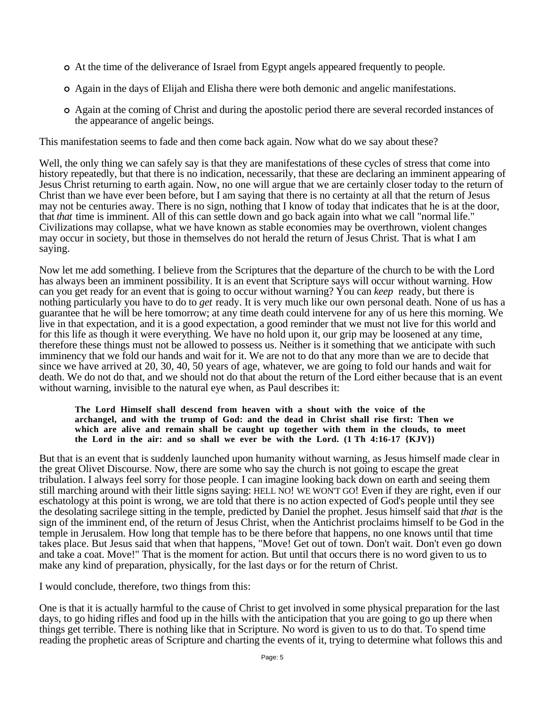- At the time of the deliverance of Israel from Egypt angels appeared frequently to people.
- Again in the days of Elijah and Elisha there were both demonic and angelic manifestations.
- Again at the coming of Christ and during the apostolic period there are several recorded instances of the appearance of angelic beings.

This manifestation seems to fade and then come back again. Now what do we say about these?

Well, the only thing we can safely say is that they are manifestations of these cycles of stress that come into history repeatedly, but that there is no indication, necessarily, that these are declaring an imminent appearing of Jesus Christ returning to earth again. Now, no one will argue that we are certainly closer today to the return of Christ than we have ever been before, but I am saying that there is no certainty at all that the return of Jesus may not be centuries away. There is no sign, nothing that I know of today that indicates that he is at the door, that *that* time is imminent. All of this can settle down and go back again into what we call "normal life." Civilizations may collapse, what we have known as stable economies may be overthrown, violent changes may occur in society, but those in themselves do not herald the return of Jesus Christ. That is what I am saying.

Now let me add something. I believe from the Scriptures that the departure of the church to be with the Lord has always been an imminent possibility. It is an event that Scripture says will occur without warning. How can you get ready for an event that is going to occur without warning? You can *keep* ready, but there is nothing particularly you have to do to *get* ready. It is very much like our own personal death. None of us has a guarantee that he will be here tomorrow; at any time death could intervene for any of us here this morning. We live in that expectation, and it is a good expectation, a good reminder that we must not live for this world and for this life as though it were everything. We have no hold upon it, our grip may be loosened at any time, therefore these things must not be allowed to possess us. Neither is it something that we anticipate with such imminency that we fold our hands and wait for it. We are not to do that any more than we are to decide that since we have arrived at 20, 30, 40, 50 years of age, whatever, we are going to fold our hands and wait for death. We do not do that, and we should not do that about the return of the Lord either because that is an event without warning, invisible to the natural eye when, as Paul describes it:

### **The Lord Himself shall descend from heaven with a shout with the voice of the archangel, and with the trump of God: and the dead in Christ shall rise first: Then we which are alive and remain shall be caught up together with them in the clouds, to meet the Lord in the air: and so shall we ever be with the Lord. (1 Th 4:16-17 {KJV})**

But that is an event that is suddenly launched upon humanity without warning, as Jesus himself made clear in the great Olivet Discourse. Now, there are some who say the church is not going to escape the great tribulation. I always feel sorry for those people. I can imagine looking back down on earth and seeing them still marching around with their little signs saying: HELL NO! WE WON'T GO! Even if they are right, even if our eschatology at this point is wrong, we are told that there is no action expected of God's people until they see the desolating sacrilege sitting in the temple, predicted by Daniel the prophet. Jesus himself said that *that* is the sign of the imminent end, of the return of Jesus Christ, when the Antichrist proclaims himself to be God in the temple in Jerusalem. How long that temple has to be there before that happens, no one knows until that time takes place. But Jesus said that when that happens, "Move! Get out of town. Don't wait. Don't even go down and take a coat. Move!" That is the moment for action. But until that occurs there is no word given to us to make any kind of preparation, physically, for the last days or for the return of Christ.

I would conclude, therefore, two things from this:

One is that it is actually harmful to the cause of Christ to get involved in some physical preparation for the last days, to go hiding rifles and food up in the hills with the anticipation that you are going to go up there when things get terrible. There is nothing like that in Scripture. No word is given to us to do that. To spend time reading the prophetic areas of Scripture and charting the events of it, trying to determine what follows this and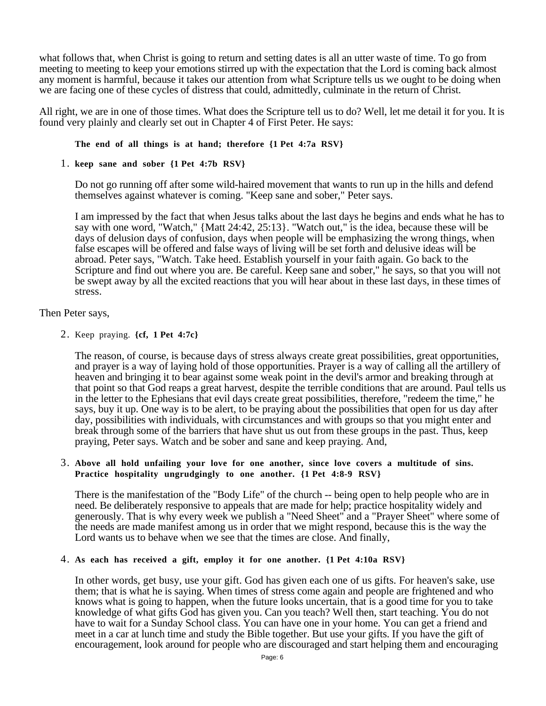what follows that, when Christ is going to return and setting dates is all an utter waste of time. To go from meeting to meeting to keep your emotions stirred up with the expectation that the Lord is coming back almost any moment is harmful, because it takes our attention from what Scripture tells us we ought to be doing when we are facing one of these cycles of distress that could, admittedly, culminate in the return of Christ.

All right, we are in one of those times. What does the Scripture tell us to do? Well, let me detail it for you. It is found very plainly and clearly set out in Chapter 4 of First Peter. He says:

## **The end of all things is at hand; therefore {1 Pet 4:7a RSV}**

1. **keep sane and sober {1 Pet 4:7b RSV}**

Do not go running off after some wild-haired movement that wants to run up in the hills and defend themselves against whatever is coming. "Keep sane and sober," Peter says.

I am impressed by the fact that when Jesus talks about the last days he begins and ends what he has to say with one word, "Watch," {Matt 24:42, 25:13}. "Watch out," is the idea, because these will be days of delusion days of confusion, days when people will be emphasizing the wrong things, when false escapes will be offered and false ways of living will be set forth and delusive ideas will be abroad. Peter says, "Watch. Take heed. Establish yourself in your faith again. Go back to the Scripture and find out where you are. Be careful. Keep sane and sober," he says, so that you will not be swept away by all the excited reactions that you will hear about in these last days, in these times of stress.

## Then Peter says,

2. Keep praying. **{cf, 1 Pet 4:7c}**

The reason, of course, is because days of stress always create great possibilities, great opportunities, and prayer is a way of laying hold of those opportunities. Prayer is a way of calling all the artillery of heaven and bringing it to bear against some weak point in the devil's armor and breaking through at that point so that God reaps a great harvest, despite the terrible conditions that are around. Paul tells us in the letter to the Ephesians that evil days create great possibilities, therefore, "redeem the time," he says, buy it up. One way is to be alert, to be praying about the possibilities that open for us day after day, possibilities with individuals, with circumstances and with groups so that you might enter and break through some of the barriers that have shut us out from these groups in the past. Thus, keep praying, Peter says. Watch and be sober and sane and keep praying. And,

## 3. **Above all hold unfailing your love for one another, since love covers a multitude of sins. Practice hospitality ungrudgingly to one another. {1 Pet 4:8-9 RSV}**

There is the manifestation of the "Body Life" of the church -- being open to help people who are in need. Be deliberately responsive to appeals that are made for help; practice hospitality widely and generously. That is why every week we publish a "Need Sheet" and a "Prayer Sheet" where some of the needs are made manifest among us in order that we might respond, because this is the way the Lord wants us to behave when we see that the times are close. And finally,

### 4. **As each has received a gift, employ it for one another. {1 Pet 4:10a RSV}**

In other words, get busy, use your gift. God has given each one of us gifts. For heaven's sake, use them; that is what he is saying. When times of stress come again and people are frightened and who knows what is going to happen, when the future looks uncertain, that is a good time for you to take knowledge of what gifts God has given you. Can you teach? Well then, start teaching. You do not have to wait for a Sunday School class. You can have one in your home. You can get a friend and meet in a car at lunch time and study the Bible together. But use your gifts. If you have the gift of encouragement, look around for people who are discouraged and start helping them and encouraging